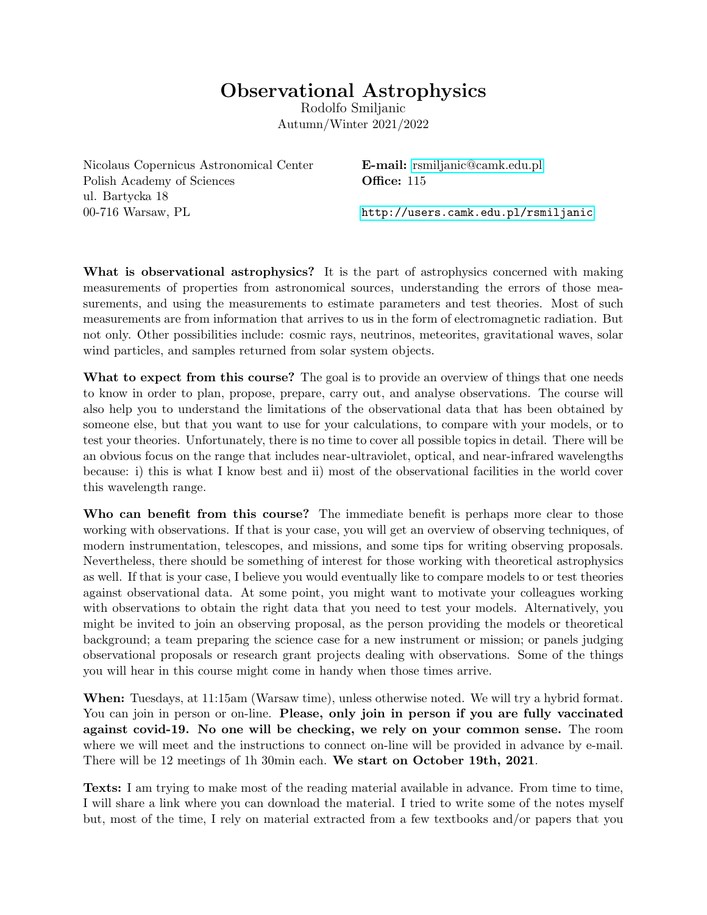## Observational Astrophysics

Rodolfo Smiljanic Autumn/Winter 2021/2022

Nicolaus Copernicus Astronomical Center **E-mail:** [rsmiljanic@camk.edu.pl](mailto:rsmiljanic@camk.edu.pl) Polish Academy of Sciences **Office:** 115 ul. Bartycka 18 00-716 Warsaw, PL <http://users.camk.edu.pl/rsmiljanic>

What is observational astrophysics? It is the part of astrophysics concerned with making measurements of properties from astronomical sources, understanding the errors of those measurements, and using the measurements to estimate parameters and test theories. Most of such measurements are from information that arrives to us in the form of electromagnetic radiation. But not only. Other possibilities include: cosmic rays, neutrinos, meteorites, gravitational waves, solar wind particles, and samples returned from solar system objects.

What to expect from this course? The goal is to provide an overview of things that one needs to know in order to plan, propose, prepare, carry out, and analyse observations. The course will also help you to understand the limitations of the observational data that has been obtained by someone else, but that you want to use for your calculations, to compare with your models, or to test your theories. Unfortunately, there is no time to cover all possible topics in detail. There will be an obvious focus on the range that includes near-ultraviolet, optical, and near-infrared wavelengths because: i) this is what I know best and ii) most of the observational facilities in the world cover this wavelength range.

Who can benefit from this course? The immediate benefit is perhaps more clear to those working with observations. If that is your case, you will get an overview of observing techniques, of modern instrumentation, telescopes, and missions, and some tips for writing observing proposals. Nevertheless, there should be something of interest for those working with theoretical astrophysics as well. If that is your case, I believe you would eventually like to compare models to or test theories against observational data. At some point, you might want to motivate your colleagues working with observations to obtain the right data that you need to test your models. Alternatively, you might be invited to join an observing proposal, as the person providing the models or theoretical background; a team preparing the science case for a new instrument or mission; or panels judging observational proposals or research grant projects dealing with observations. Some of the things you will hear in this course might come in handy when those times arrive.

When: Tuesdays, at 11:15am (Warsaw time), unless otherwise noted. We will try a hybrid format. You can join in person or on-line. Please, only join in person if you are fully vaccinated against covid-19. No one will be checking, we rely on your common sense. The room where we will meet and the instructions to connect on-line will be provided in advance by e-mail. There will be 12 meetings of 1h 30min each. We start on October 19th, 2021.

Texts: I am trying to make most of the reading material available in advance. From time to time, I will share a link where you can download the material. I tried to write some of the notes myself but, most of the time, I rely on material extracted from a few textbooks and/or papers that you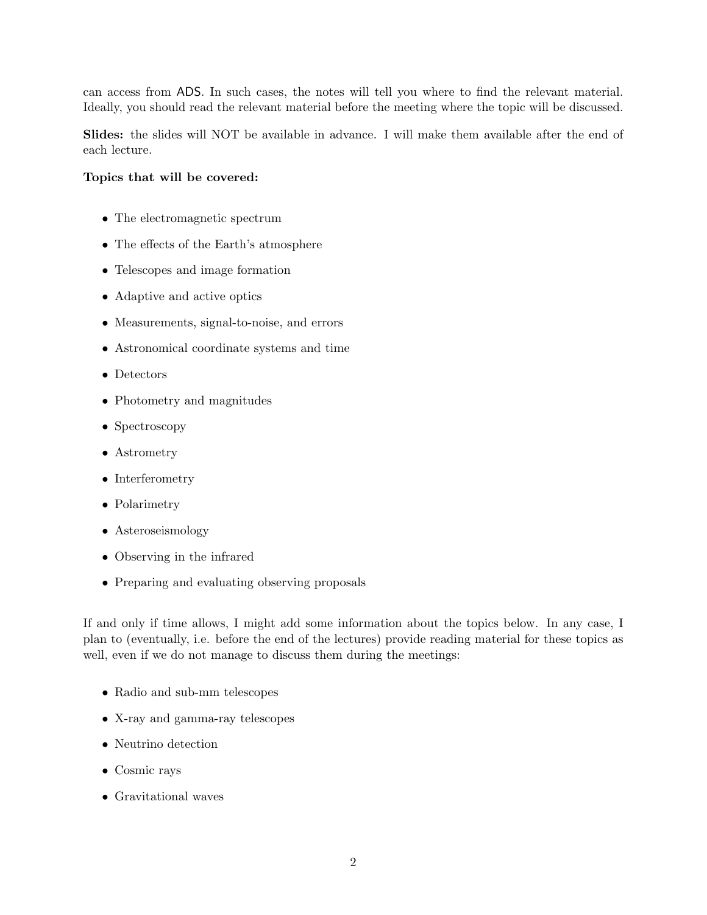can access from ADS. In such cases, the notes will tell you where to find the relevant material. Ideally, you should read the relevant material before the meeting where the topic will be discussed.

Slides: the slides will NOT be available in advance. I will make them available after the end of each lecture.

## Topics that will be covered:

- The electromagnetic spectrum
- The effects of the Earth's atmosphere
- Telescopes and image formation
- Adaptive and active optics
- Measurements, signal-to-noise, and errors
- Astronomical coordinate systems and time
- Detectors
- Photometry and magnitudes
- Spectroscopy
- Astrometry
- Interferometry
- Polarimetry
- Asteroseismology
- Observing in the infrared
- Preparing and evaluating observing proposals

If and only if time allows, I might add some information about the topics below. In any case, I plan to (eventually, i.e. before the end of the lectures) provide reading material for these topics as well, even if we do not manage to discuss them during the meetings:

- Radio and sub-mm telescopes
- X-ray and gamma-ray telescopes
- Neutrino detection
- Cosmic rays
- Gravitational waves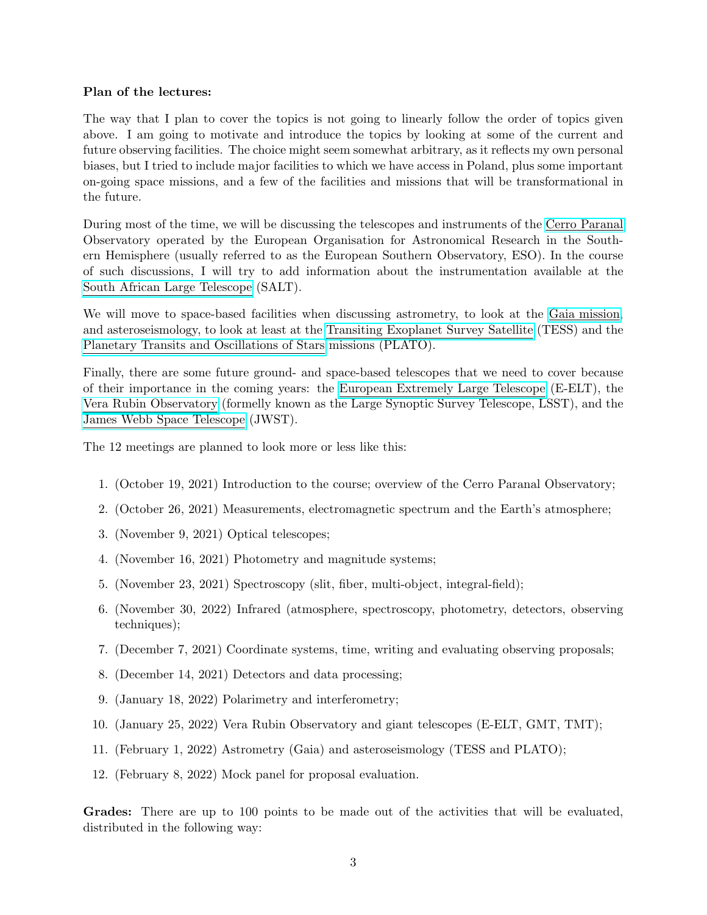## Plan of the lectures:

The way that I plan to cover the topics is not going to linearly follow the order of topics given above. I am going to motivate and introduce the topics by looking at some of the current and future observing facilities. The choice might seem somewhat arbitrary, as it reflects my own personal biases, but I tried to include major facilities to which we have access in Poland, plus some important on-going space missions, and a few of the facilities and missions that will be transformational in the future.

During most of the time, we will be discussing the telescopes and instruments of the [Cerro Paranal](https://www.eso.org/sci/facilities/paranal.html) Observatory operated by the European Organisation for Astronomical Research in the Southern Hemisphere (usually referred to as the European Southern Observatory, ESO). In the course of such discussions, I will try to add information about the instrumentation available at the [South African Large Telescope](https://astronomers.salt.ac.za/) (SALT).

We will move to space-based facilities when discussing astrometry, to look at the [Gaia mission,](https://sci.esa.int/web/gaia) and asteroseismology, to look at least at the [Transiting Exoplanet Survey Satellite](https://tess.mit.edu/) (TESS) and the [Planetary Transits and Oscillations of Stars](https://platomission.com/) missions (PLATO).

Finally, there are some future ground- and space-based telescopes that we need to cover because of their importance in the coming years: the [European Extremely Large Telescope](https://elt.eso.org/) (E-ELT), the [Vera Rubin Observatory](https://www.lsst.org/) (formelly known as the Large Synoptic Survey Telescope, LSST), and the [James Webb Space Telescope](https://www.jwst.nasa.gov/) (JWST).

The 12 meetings are planned to look more or less like this:

- 1. (October 19, 2021) Introduction to the course; overview of the Cerro Paranal Observatory;
- 2. (October 26, 2021) Measurements, electromagnetic spectrum and the Earth's atmosphere;
- 3. (November 9, 2021) Optical telescopes;
- 4. (November 16, 2021) Photometry and magnitude systems;
- 5. (November 23, 2021) Spectroscopy (slit, fiber, multi-object, integral-field);
- 6. (November 30, 2022) Infrared (atmosphere, spectroscopy, photometry, detectors, observing techniques);
- 7. (December 7, 2021) Coordinate systems, time, writing and evaluating observing proposals;
- 8. (December 14, 2021) Detectors and data processing;
- 9. (January 18, 2022) Polarimetry and interferometry;
- 10. (January 25, 2022) Vera Rubin Observatory and giant telescopes (E-ELT, GMT, TMT);
- 11. (February 1, 2022) Astrometry (Gaia) and asteroseismology (TESS and PLATO);
- 12. (February 8, 2022) Mock panel for proposal evaluation.

Grades: There are up to 100 points to be made out of the activities that will be evaluated, distributed in the following way: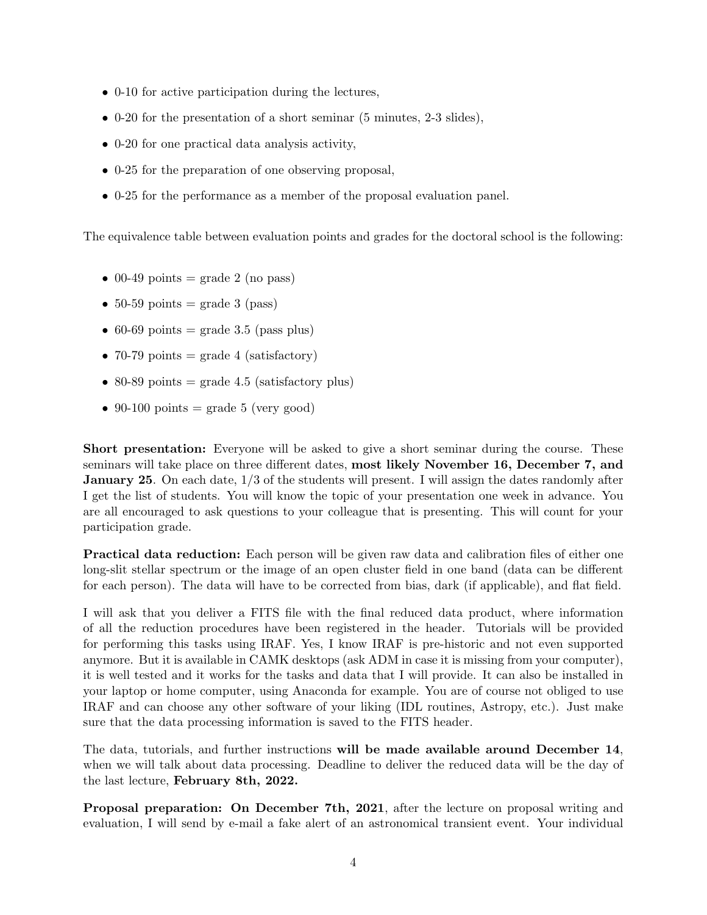- 0-10 for active participation during the lectures,
- 0-20 for the presentation of a short seminar (5 minutes, 2-3 slides),
- 0-20 for one practical data analysis activity,
- 0-25 for the preparation of one observing proposal,
- 0-25 for the performance as a member of the proposal evaluation panel.

The equivalence table between evaluation points and grades for the doctoral school is the following:

- 00-49 points = grade 2 (no pass)
- 50-59 points = grade 3 (pass)
- 60-69 points = grade 3.5 (pass plus)
- 70-79 points = grade 4 (satisfactory)
- 80-89 points = grade 4.5 (satisfactory plus)
- 90-100 points = grade 5 (very good)

Short presentation: Everyone will be asked to give a short seminar during the course. These seminars will take place on three different dates, most likely November 16, December 7, and **January 25.** On each date,  $1/3$  of the students will present. I will assign the dates randomly after I get the list of students. You will know the topic of your presentation one week in advance. You are all encouraged to ask questions to your colleague that is presenting. This will count for your participation grade.

Practical data reduction: Each person will be given raw data and calibration files of either one long-slit stellar spectrum or the image of an open cluster field in one band (data can be different for each person). The data will have to be corrected from bias, dark (if applicable), and flat field.

I will ask that you deliver a FITS file with the final reduced data product, where information of all the reduction procedures have been registered in the header. Tutorials will be provided for performing this tasks using IRAF. Yes, I know IRAF is pre-historic and not even supported anymore. But it is available in CAMK desktops (ask ADM in case it is missing from your computer), it is well tested and it works for the tasks and data that I will provide. It can also be installed in your laptop or home computer, using Anaconda for example. You are of course not obliged to use IRAF and can choose any other software of your liking (IDL routines, Astropy, etc.). Just make sure that the data processing information is saved to the FITS header.

The data, tutorials, and further instructions will be made available around December 14, when we will talk about data processing. Deadline to deliver the reduced data will be the day of the last lecture, February 8th, 2022.

Proposal preparation: On December 7th, 2021, after the lecture on proposal writing and evaluation, I will send by e-mail a fake alert of an astronomical transient event. Your individual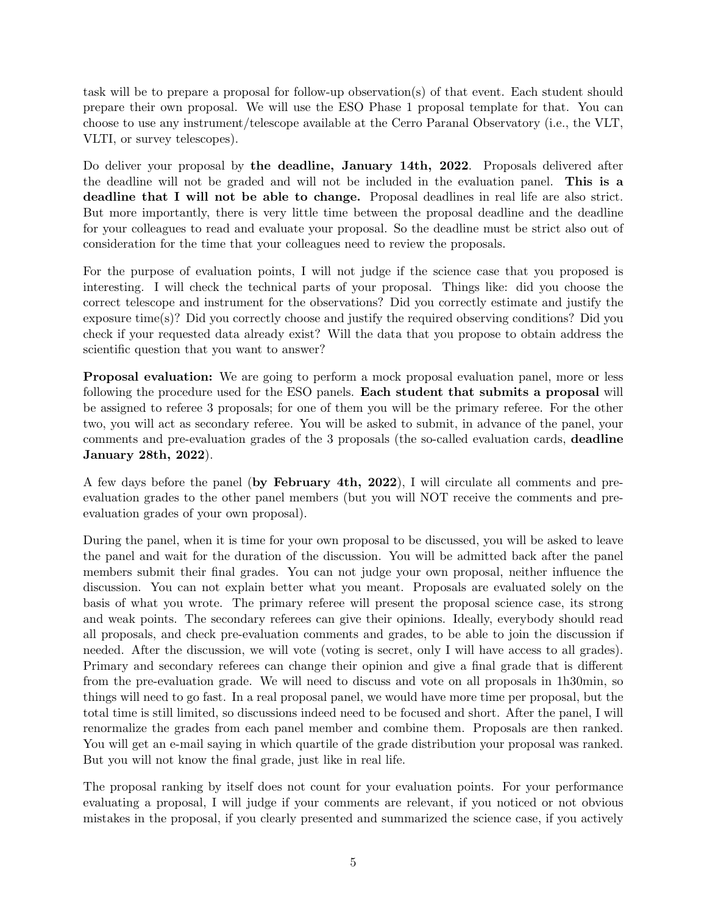task will be to prepare a proposal for follow-up observation(s) of that event. Each student should prepare their own proposal. We will use the ESO Phase 1 proposal template for that. You can choose to use any instrument/telescope available at the Cerro Paranal Observatory (i.e., the VLT, VLTI, or survey telescopes).

Do deliver your proposal by the deadline, January 14th, 2022. Proposals delivered after the deadline will not be graded and will not be included in the evaluation panel. This is a deadline that I will not be able to change. Proposal deadlines in real life are also strict. But more importantly, there is very little time between the proposal deadline and the deadline for your colleagues to read and evaluate your proposal. So the deadline must be strict also out of consideration for the time that your colleagues need to review the proposals.

For the purpose of evaluation points, I will not judge if the science case that you proposed is interesting. I will check the technical parts of your proposal. Things like: did you choose the correct telescope and instrument for the observations? Did you correctly estimate and justify the exposure time(s)? Did you correctly choose and justify the required observing conditions? Did you check if your requested data already exist? Will the data that you propose to obtain address the scientific question that you want to answer?

Proposal evaluation: We are going to perform a mock proposal evaluation panel, more or less following the procedure used for the ESO panels. Each student that submits a proposal will be assigned to referee 3 proposals; for one of them you will be the primary referee. For the other two, you will act as secondary referee. You will be asked to submit, in advance of the panel, your comments and pre-evaluation grades of the 3 proposals (the so-called evaluation cards, deadline January 28th, 2022).

A few days before the panel (by February 4th, 2022), I will circulate all comments and preevaluation grades to the other panel members (but you will NOT receive the comments and preevaluation grades of your own proposal).

During the panel, when it is time for your own proposal to be discussed, you will be asked to leave the panel and wait for the duration of the discussion. You will be admitted back after the panel members submit their final grades. You can not judge your own proposal, neither influence the discussion. You can not explain better what you meant. Proposals are evaluated solely on the basis of what you wrote. The primary referee will present the proposal science case, its strong and weak points. The secondary referees can give their opinions. Ideally, everybody should read all proposals, and check pre-evaluation comments and grades, to be able to join the discussion if needed. After the discussion, we will vote (voting is secret, only I will have access to all grades). Primary and secondary referees can change their opinion and give a final grade that is different from the pre-evaluation grade. We will need to discuss and vote on all proposals in 1h30min, so things will need to go fast. In a real proposal panel, we would have more time per proposal, but the total time is still limited, so discussions indeed need to be focused and short. After the panel, I will renormalize the grades from each panel member and combine them. Proposals are then ranked. You will get an e-mail saying in which quartile of the grade distribution your proposal was ranked. But you will not know the final grade, just like in real life.

The proposal ranking by itself does not count for your evaluation points. For your performance evaluating a proposal, I will judge if your comments are relevant, if you noticed or not obvious mistakes in the proposal, if you clearly presented and summarized the science case, if you actively